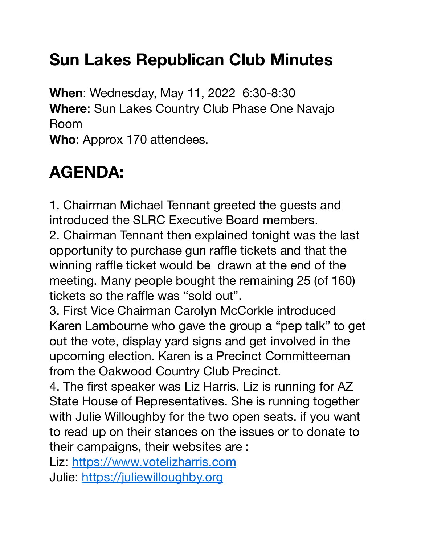# **Sun Lakes Republican Club Minutes**

**When**: Wednesday, May 11, 2022 6:30-8:30 **Where**: Sun Lakes Country Club Phase One Navajo Room **Who**: Approx 170 attendees.

# **AGENDA:**

1. Chairman Michael Tennant greeted the guests and introduced the SLRC Executive Board members. 2. Chairman Tennant then explained tonight was the last opportunity to purchase gun raffle tickets and that the winning raffle ticket would be drawn at the end of the meeting. Many people bought the remaining 25 (of 160) tickets so the raffle was "sold out".

3. First Vice Chairman Carolyn McCorkle introduced Karen Lambourne who gave the group a "pep talk" to get out the vote, display yard signs and get involved in the upcoming election. Karen is a Precinct Committeeman from the Oakwood Country Club Precinct.

4. The first speaker was Liz Harris. Liz is running for AZ State House of Representatives. She is running together with Julie Willoughby for the two open seats. if you want to read up on their stances on the issues or to donate to their campaigns, their websites are :

Liz: [https://www.votelizharris.com](https://www.votelizharris.com/) Julie: [https://juliewilloughby.org](https://juliewilloughby.org/)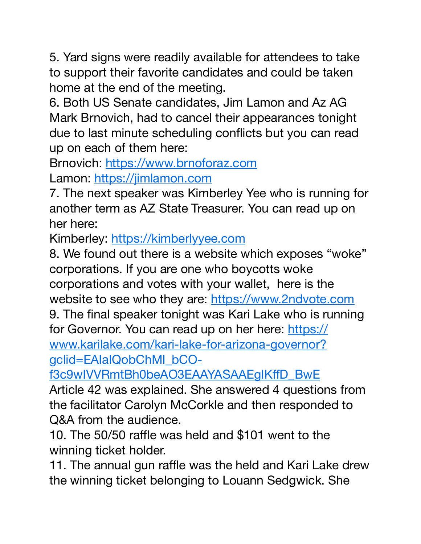5. Yard signs were readily available for attendees to take to support their favorite candidates and could be taken home at the end of the meeting.

6. Both US Senate candidates, Jim Lamon and Az AG Mark Brnovich, had to cancel their appearances tonight due to last minute scheduling conflicts but you can read up on each of them here:

Brnovich: [https://www.brnoforaz.com](https://www.brnoforaz.com/) Lamon: [https://jimlamon.com](https://jimlamon.com/)

7. The next speaker was Kimberley Yee who is running for another term as AZ State Treasurer. You can read up on her here:

Kimberley: [https://kimberlyyee.com](https://kimberlyyee.com/)

8. We found out there is a website which exposes "woke" corporations. If you are one who boycotts woke corporations and votes with your wallet, here is the website to see who they are: [https://www.2ndvote.com](https://www.2ndvote.com/)

9. The final speaker tonight was Kari Lake who is running [for Governor. You can read up on her here: https://](https://www.karilake.com/kari-lake-for-arizona-governor?gclid=EAIaIQobChMI_bCO-f3c9wIVVRmtBh0beAO3EAAYASAAEgIKffD_BwE) [www.karilake.com/kari-lake-for-arizona-governor?](https://www.karilake.com/kari-lake-for-arizona-governor?gclid=EAIaIQobChMI_bCO-f3c9wIVVRmtBh0beAO3EAAYASAAEgIKffD_BwE) [gclid=EAIaIQobChMI\\_bCO-](https://www.karilake.com/kari-lake-for-arizona-governor?gclid=EAIaIQobChMI_bCO-f3c9wIVVRmtBh0beAO3EAAYASAAEgIKffD_BwE)

[f3c9wIVVRmtBh0beAO3EAAYASAAEgIK](https://www.karilake.com/kari-lake-for-arizona-governor?gclid=EAIaIQobChMI_bCO-f3c9wIVVRmtBh0beAO3EAAYASAAEgIKffD_BwE)ffD\_BwE

Article 42 was explained. She answered 4 questions from the facilitator Carolyn McCorkle and then responded to Q&A from the audience.

10. The 50/50 raffle was held and \$101 went to the winning ticket holder.

11. The annual gun raffle was the held and Kari Lake drew the winning ticket belonging to Louann Sedgwick. She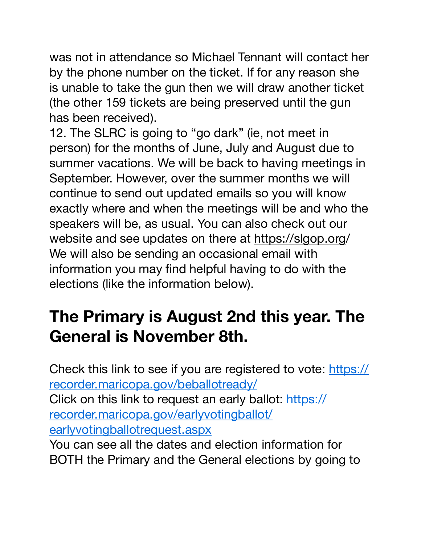was not in attendance so Michael Tennant will contact her by the phone number on the ticket. If for any reason she is unable to take the gun then we will draw another ticket (the other 159 tickets are being preserved until the gun has been received).

12. The SLRC is going to "go dark" (ie, not meet in person) for the months of June, July and August due to summer vacations. We will be back to having meetings in September. However, over the summer months we will continue to send out updated emails so you will know exactly where and when the meetings will be and who the speakers will be, as usual. You can also check out our website and see updates on there at [https://slgop.org](http://www.slgop.org)/ We will also be sending an occasional email with information you may find helpful having to do with the elections (like the information below).

## **The Primary is August 2nd this year. The General is November 8th.**

Check this link to see if you are registered to vote: [https://](https://recorder.maricopa.gov/beballotready/) [recorder.maricopa.gov/beballotready/](https://recorder.maricopa.gov/beballotready/) Click on this link to request an early ballot: [https://](https://recorder.maricopa.gov/earlyvotingballot/earlyvotingballotrequest.aspx) [recorder.maricopa.gov/earlyvotingballot/](https://recorder.maricopa.gov/earlyvotingballot/earlyvotingballotrequest.aspx) [earlyvotingballotrequest.aspx](https://recorder.maricopa.gov/earlyvotingballot/earlyvotingballotrequest.aspx)

You can see all the dates and election information for BOTH the Primary and the General elections by going to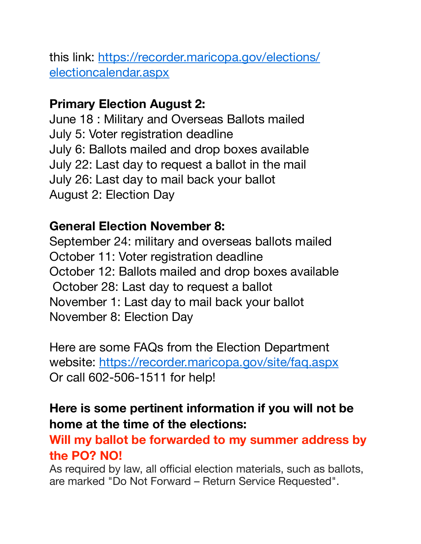[this link: https://recorder.maricopa.gov/elections/](https://recorder.maricopa.gov/elections/electioncalendar.aspx) [electioncalendar.aspx](https://recorder.maricopa.gov/elections/electioncalendar.aspx)

#### **Primary Election August 2:**

June 18 : Military and Overseas Ballots mailed July 5: Voter registration deadline July 6: Ballots mailed and drop boxes available July 22: Last day to request a ballot in the mail July 26: Last day to mail back your ballot August 2: Election Day

#### **General Election November 8:**

September 24: military and overseas ballots mailed October 11: Voter registration deadline October 12: Ballots mailed and drop boxes available October 28: Last day to request a ballot November 1: Last day to mail back your ballot November 8: Election Day

Here are some FAQs from the Election Department website:<https://recorder.maricopa.gov/site/faq.aspx> Or call 602-506-1511 for help!

### **Here is some pertinent information if you will not be home at the time of the elections:**

**Will my ballot be forwarded to my summer address by the PO? NO!**

As required by law, all official election materials, such as ballots, are marked "Do Not Forward – Return Service Requested".